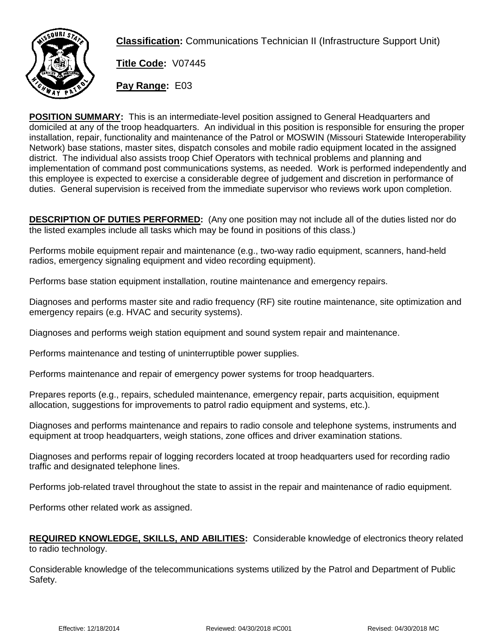

**Classification:** Communications Technician II (Infrastructure Support Unit)

**Title Code:** V07445

**Pay Range:** E03

**POSITION SUMMARY:** This is an intermediate-level position assigned to General Headquarters and domiciled at any of the troop headquarters. An individual in this position is responsible for ensuring the proper installation, repair, functionality and maintenance of the Patrol or MOSWIN (Missouri Statewide Interoperability Network) base stations, master sites, dispatch consoles and mobile radio equipment located in the assigned district. The individual also assists troop Chief Operators with technical problems and planning and implementation of command post communications systems, as needed. Work is performed independently and this employee is expected to exercise a considerable degree of judgement and discretion in performance of duties. General supervision is received from the immediate supervisor who reviews work upon completion.

**DESCRIPTION OF DUTIES PERFORMED:** (Any one position may not include all of the duties listed nor do the listed examples include all tasks which may be found in positions of this class.)

Performs mobile equipment repair and maintenance (e.g., two-way radio equipment, scanners, hand-held radios, emergency signaling equipment and video recording equipment).

Performs base station equipment installation, routine maintenance and emergency repairs.

Diagnoses and performs master site and radio frequency (RF) site routine maintenance, site optimization and emergency repairs (e.g. HVAC and security systems).

Diagnoses and performs weigh station equipment and sound system repair and maintenance.

Performs maintenance and testing of uninterruptible power supplies.

Performs maintenance and repair of emergency power systems for troop headquarters.

Prepares reports (e.g., repairs, scheduled maintenance, emergency repair, parts acquisition, equipment allocation, suggestions for improvements to patrol radio equipment and systems, etc.).

Diagnoses and performs maintenance and repairs to radio console and telephone systems, instruments and equipment at troop headquarters, weigh stations, zone offices and driver examination stations.

Diagnoses and performs repair of logging recorders located at troop headquarters used for recording radio traffic and designated telephone lines.

Performs job-related travel throughout the state to assist in the repair and maintenance of radio equipment.

Performs other related work as assigned.

## **REQUIRED KNOWLEDGE, SKILLS, AND ABILITIES:** Considerable knowledge of electronics theory related to radio technology.

Considerable knowledge of the telecommunications systems utilized by the Patrol and Department of Public Safety.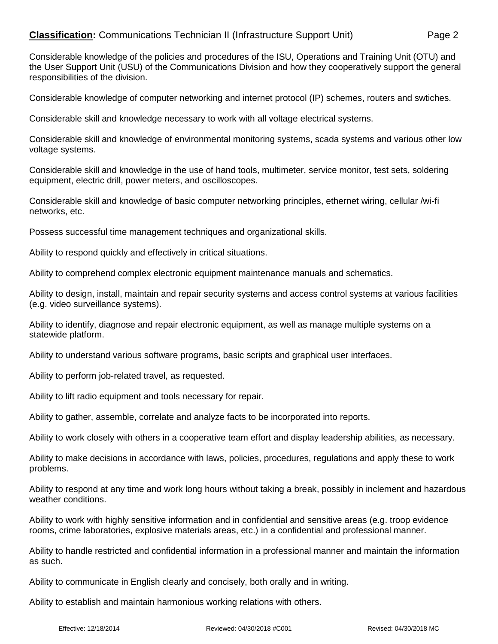## **Classification:** Communications Technician II (Infrastructure Support Unit) Page 2

Considerable knowledge of the policies and procedures of the ISU, Operations and Training Unit (OTU) and the User Support Unit (USU) of the Communications Division and how they cooperatively support the general responsibilities of the division.

Considerable knowledge of computer networking and internet protocol (IP) schemes, routers and swtiches.

Considerable skill and knowledge necessary to work with all voltage electrical systems.

Considerable skill and knowledge of environmental monitoring systems, scada systems and various other low voltage systems.

Considerable skill and knowledge in the use of hand tools, multimeter, service monitor, test sets, soldering equipment, electric drill, power meters, and oscilloscopes.

Considerable skill and knowledge of basic computer networking principles, ethernet wiring, cellular /wi-fi networks, etc.

Possess successful time management techniques and organizational skills.

Ability to respond quickly and effectively in critical situations.

Ability to comprehend complex electronic equipment maintenance manuals and schematics.

Ability to design, install, maintain and repair security systems and access control systems at various facilities (e.g. video surveillance systems).

Ability to identify, diagnose and repair electronic equipment, as well as manage multiple systems on a statewide platform.

Ability to understand various software programs, basic scripts and graphical user interfaces.

Ability to perform job-related travel, as requested.

Ability to lift radio equipment and tools necessary for repair.

Ability to gather, assemble, correlate and analyze facts to be incorporated into reports.

Ability to work closely with others in a cooperative team effort and display leadership abilities, as necessary.

Ability to make decisions in accordance with laws, policies, procedures, regulations and apply these to work problems.

Ability to respond at any time and work long hours without taking a break, possibly in inclement and hazardous weather conditions.

Ability to work with highly sensitive information and in confidential and sensitive areas (e.g. troop evidence rooms, crime laboratories, explosive materials areas, etc.) in a confidential and professional manner.

Ability to handle restricted and confidential information in a professional manner and maintain the information as such.

Ability to communicate in English clearly and concisely, both orally and in writing.

Ability to establish and maintain harmonious working relations with others.